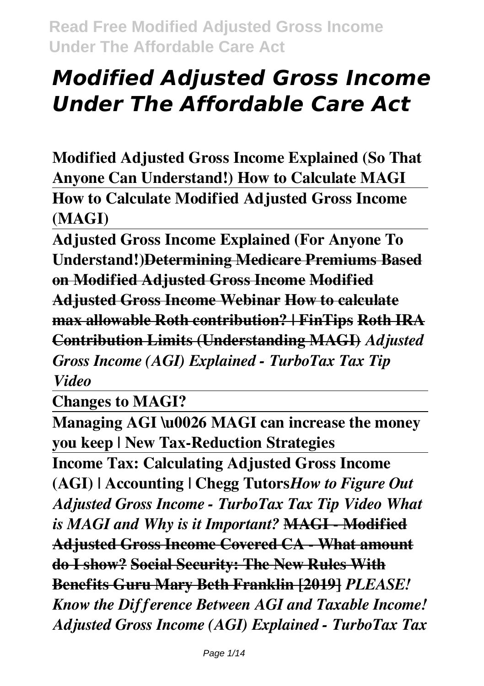**Modified Adjusted Gross Income Explained (So That Anyone Can Understand!) How to Calculate MAGI How to Calculate Modified Adjusted Gross Income (MAGI)**

**Adjusted Gross Income Explained (For Anyone To Understand!)Determining Medicare Premiums Based on Modified Adjusted Gross Income Modified Adjusted Gross Income Webinar How to calculate max allowable Roth contribution? | FinTips Roth IRA Contribution Limits (Understanding MAGI)** *Adjusted Gross Income (AGI) Explained - TurboTax Tax Tip Video*

**Changes to MAGI?**

**Managing AGI \u0026 MAGI can increase the money you keep | New Tax-Reduction Strategies**

**Income Tax: Calculating Adjusted Gross Income (AGI) | Accounting | Chegg Tutors***How to Figure Out Adjusted Gross Income - TurboTax Tax Tip Video What is MAGI and Why is it Important?* **MAGI - Modified Adjusted Gross Income Covered CA - What amount do I show? Social Security: The New Rules With Benefits Guru Mary Beth Franklin [2019]** *PLEASE! Know the Difference Between AGI and Taxable Income! Adjusted Gross Income (AGI) Explained - TurboTax Tax*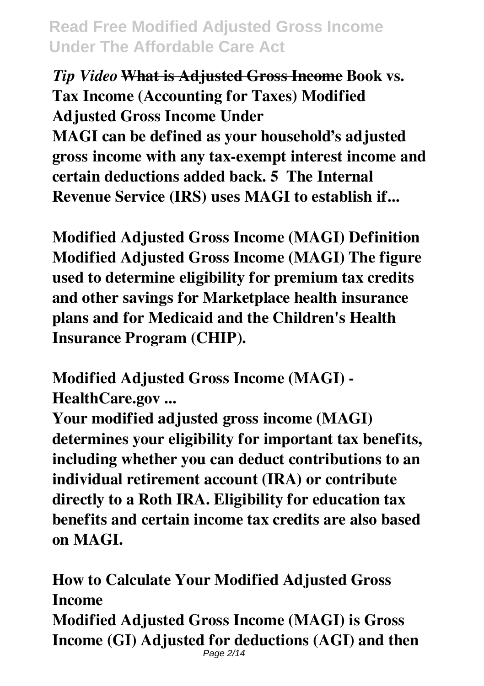*Tip Video* **What is Adjusted Gross Income Book vs. Tax Income (Accounting for Taxes) Modified Adjusted Gross Income Under MAGI can be defined as your household's adjusted gross income with any tax-exempt interest income and certain deductions added back. 5 The Internal Revenue Service (IRS) uses MAGI to establish if...**

**Modified Adjusted Gross Income (MAGI) Definition Modified Adjusted Gross Income (MAGI) The figure used to determine eligibility for premium tax credits and other savings for Marketplace health insurance plans and for Medicaid and the Children's Health Insurance Program (CHIP).**

**Modified Adjusted Gross Income (MAGI) - HealthCare.gov ...**

**Your modified adjusted gross income (MAGI) determines your eligibility for important tax benefits, including whether you can deduct contributions to an individual retirement account (IRA) or contribute directly to a Roth IRA. Eligibility for education tax benefits and certain income tax credits are also based on MAGI.**

**How to Calculate Your Modified Adjusted Gross Income Modified Adjusted Gross Income (MAGI) is Gross Income (GI) Adjusted for deductions (AGI) and then** Page 2/14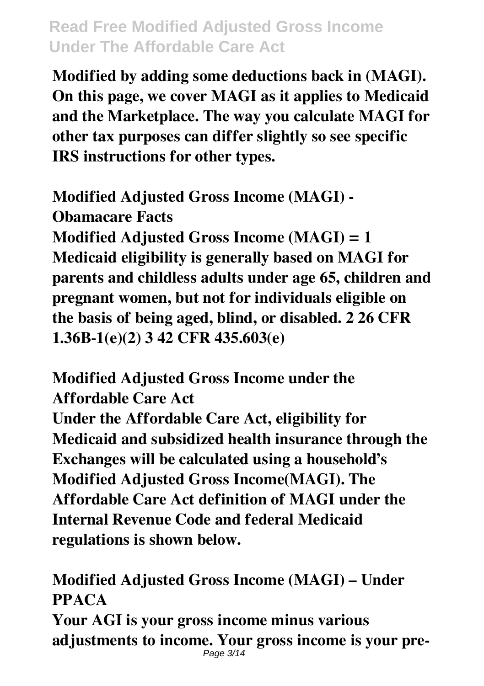**Modified by adding some deductions back in (MAGI). On this page, we cover MAGI as it applies to Medicaid and the Marketplace. The way you calculate MAGI for other tax purposes can differ slightly so see specific IRS instructions for other types.**

**Modified Adjusted Gross Income (MAGI) - Obamacare Facts Modified Adjusted Gross Income (MAGI) = 1 Medicaid eligibility is generally based on MAGI for parents and childless adults under age 65, children and pregnant women, but not for individuals eligible on the basis of being aged, blind, or disabled. 2 26 CFR 1.36B-1(e)(2) 3 42 CFR 435.603(e)**

**Modified Adjusted Gross Income under the Affordable Care Act**

**Under the Affordable Care Act, eligibility for Medicaid and subsidized health insurance through the Exchanges will be calculated using a household's Modified Adjusted Gross Income(MAGI). The Affordable Care Act definition of MAGI under the Internal Revenue Code and federal Medicaid regulations is shown below.**

**Modified Adjusted Gross Income (MAGI) – Under PPACA**

**Your AGI is your gross income minus various adjustments to income. Your gross income is your pre-**Page 3/14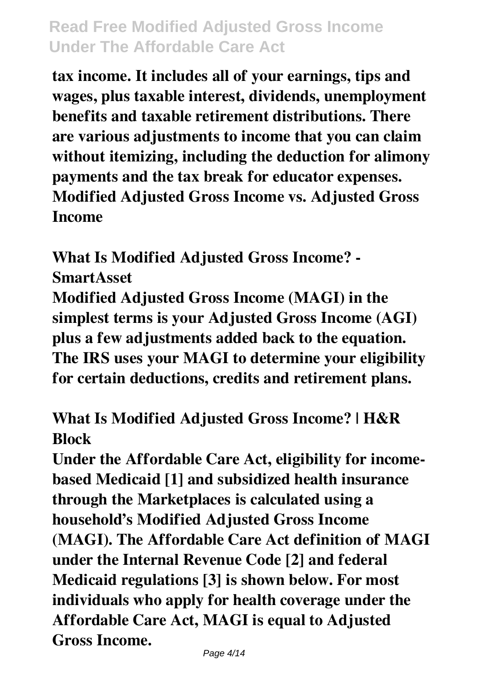**tax income. It includes all of your earnings, tips and wages, plus taxable interest, dividends, unemployment benefits and taxable retirement distributions. There are various adjustments to income that you can claim without itemizing, including the deduction for alimony payments and the tax break for educator expenses. Modified Adjusted Gross Income vs. Adjusted Gross Income**

**What Is Modified Adjusted Gross Income? - SmartAsset**

**Modified Adjusted Gross Income (MAGI) in the simplest terms is your Adjusted Gross Income (AGI) plus a few adjustments added back to the equation. The IRS uses your MAGI to determine your eligibility for certain deductions, credits and retirement plans.**

#### **What Is Modified Adjusted Gross Income? | H&R Block**

**Under the Affordable Care Act, eligibility for incomebased Medicaid [1] and subsidized health insurance through the Marketplaces is calculated using a household's Modified Adjusted Gross Income (MAGI). The Affordable Care Act definition of MAGI under the Internal Revenue Code [2] and federal Medicaid regulations [3] is shown below. For most individuals who apply for health coverage under the Affordable Care Act, MAGI is equal to Adjusted Gross Income.**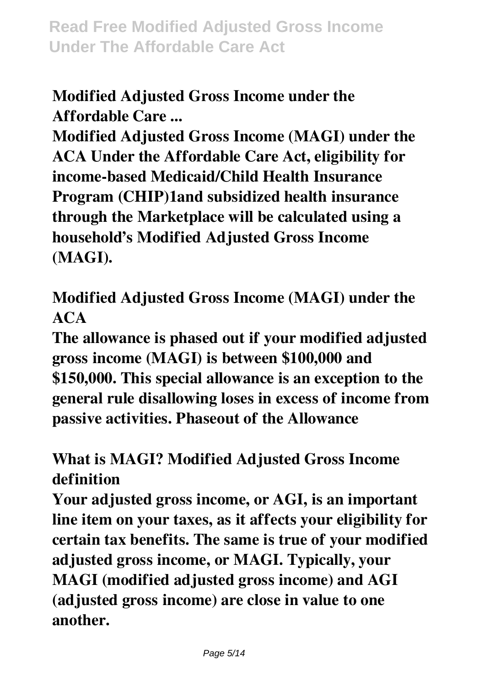# **Modified Adjusted Gross Income under the Affordable Care ...**

**Modified Adjusted Gross Income (MAGI) under the ACA Under the Affordable Care Act, eligibility for income-based Medicaid/Child Health Insurance Program (CHIP)1and subsidized health insurance through the Marketplace will be calculated using a household's Modified Adjusted Gross Income (MAGI).**

**Modified Adjusted Gross Income (MAGI) under the ACA**

**The allowance is phased out if your modified adjusted gross income (MAGI) is between \$100,000 and \$150,000. This special allowance is an exception to the general rule disallowing loses in excess of income from passive activities. Phaseout of the Allowance**

# **What is MAGI? Modified Adjusted Gross Income definition**

**Your adjusted gross income, or AGI, is an important line item on your taxes, as it affects your eligibility for certain tax benefits. The same is true of your modified adjusted gross income, or MAGI. Typically, your MAGI (modified adjusted gross income) and AGI (adjusted gross income) are close in value to one another.**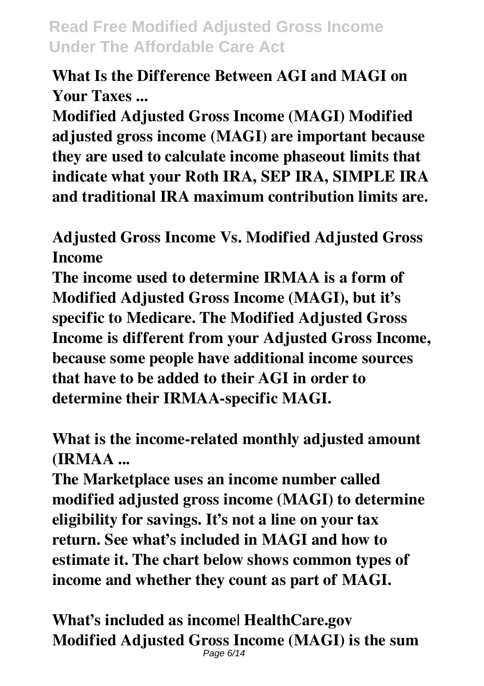#### **What Is the Difference Between AGI and MAGI on Your Taxes ...**

**Modified Adjusted Gross Income (MAGI) Modified adjusted gross income (MAGI) are important because they are used to calculate income phaseout limits that indicate what your Roth IRA, SEP IRA, SIMPLE IRA and traditional IRA maximum contribution limits are.**

**Adjusted Gross Income Vs. Modified Adjusted Gross Income**

**The income used to determine IRMAA is a form of Modified Adjusted Gross Income (MAGI), but it's specific to Medicare. The Modified Adjusted Gross Income is different from your Adjusted Gross Income, because some people have additional income sources that have to be added to their AGI in order to determine their IRMAA-specific MAGI.**

**What is the income-related monthly adjusted amount (IRMAA ...**

**The Marketplace uses an income number called modified adjusted gross income (MAGI) to determine eligibility for savings. It's not a line on your tax return. See what's included in MAGI and how to estimate it. The chart below shows common types of income and whether they count as part of MAGI.**

**What's included as income| HealthCare.gov Modified Adjusted Gross Income (MAGI) is the sum** Page 6/14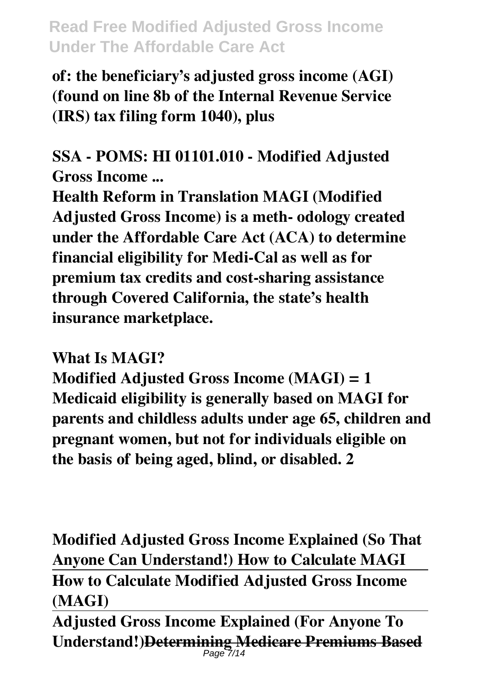**of: the beneficiary's adjusted gross income (AGI) (found on line 8b of the Internal Revenue Service (IRS) tax filing form 1040), plus**

**SSA - POMS: HI 01101.010 - Modified Adjusted Gross Income ...**

**Health Reform in Translation MAGI (Modified Adjusted Gross Income) is a meth- odology created under the Affordable Care Act (ACA) to determine financial eligibility for Medi-Cal as well as for premium tax credits and cost-sharing assistance through Covered California, the state's health insurance marketplace.**

#### **What Is MAGI?**

**Modified Adjusted Gross Income (MAGI) = 1 Medicaid eligibility is generally based on MAGI for parents and childless adults under age 65, children and pregnant women, but not for individuals eligible on the basis of being aged, blind, or disabled. 2**

**Modified Adjusted Gross Income Explained (So That Anyone Can Understand!) How to Calculate MAGI How to Calculate Modified Adjusted Gross Income (MAGI)**

**Adjusted Gross Income Explained (For Anyone To Understand!)Determining Medicare Premiums Based** Page 7/14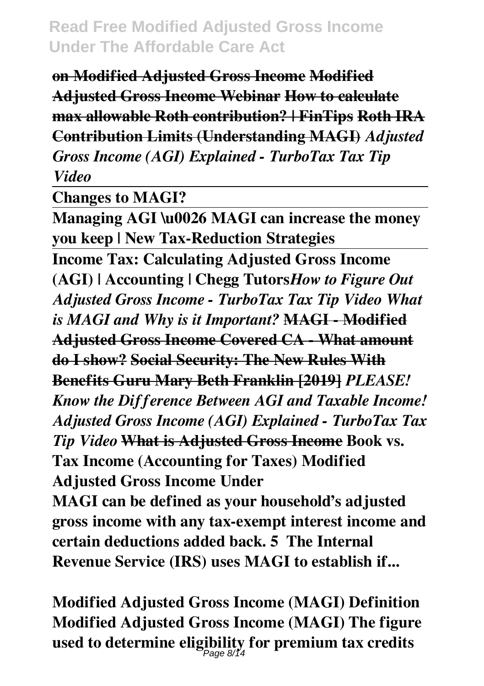**on Modified Adjusted Gross Income Modified Adjusted Gross Income Webinar How to calculate max allowable Roth contribution? | FinTips Roth IRA Contribution Limits (Understanding MAGI)** *Adjusted Gross Income (AGI) Explained - TurboTax Tax Tip Video*

**Changes to MAGI?**

**Managing AGI \u0026 MAGI can increase the money you keep | New Tax-Reduction Strategies Income Tax: Calculating Adjusted Gross Income (AGI) | Accounting | Chegg Tutors***How to Figure Out Adjusted Gross Income - TurboTax Tax Tip Video What is MAGI and Why is it Important?* **MAGI - Modified Adjusted Gross Income Covered CA - What amount do I show? Social Security: The New Rules With Benefits Guru Mary Beth Franklin [2019]** *PLEASE! Know the Difference Between AGI and Taxable Income! Adjusted Gross Income (AGI) Explained - TurboTax Tax Tip Video* **What is Adjusted Gross Income Book vs. Tax Income (Accounting for Taxes) Modified Adjusted Gross Income Under MAGI can be defined as your household's adjusted**

**gross income with any tax-exempt interest income and certain deductions added back. 5 The Internal Revenue Service (IRS) uses MAGI to establish if...**

**Modified Adjusted Gross Income (MAGI) Definition Modified Adjusted Gross Income (MAGI) The figure used to determine eligibility for premium tax credits** Page 8/14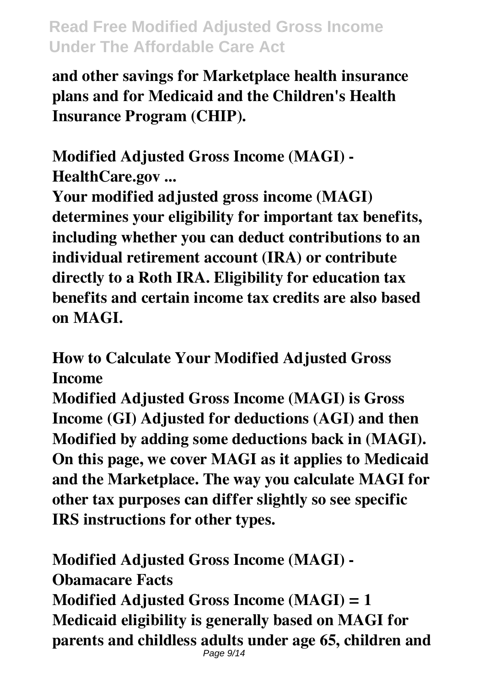**and other savings for Marketplace health insurance plans and for Medicaid and the Children's Health Insurance Program (CHIP).**

**Modified Adjusted Gross Income (MAGI) - HealthCare.gov ...**

**Your modified adjusted gross income (MAGI) determines your eligibility for important tax benefits, including whether you can deduct contributions to an individual retirement account (IRA) or contribute directly to a Roth IRA. Eligibility for education tax benefits and certain income tax credits are also based on MAGI.**

**How to Calculate Your Modified Adjusted Gross Income**

**Modified Adjusted Gross Income (MAGI) is Gross Income (GI) Adjusted for deductions (AGI) and then Modified by adding some deductions back in (MAGI). On this page, we cover MAGI as it applies to Medicaid and the Marketplace. The way you calculate MAGI for other tax purposes can differ slightly so see specific IRS instructions for other types.**

**Modified Adjusted Gross Income (MAGI) - Obamacare Facts Modified Adjusted Gross Income (MAGI) = 1 Medicaid eligibility is generally based on MAGI for parents and childless adults under age 65, children and** Page 9/14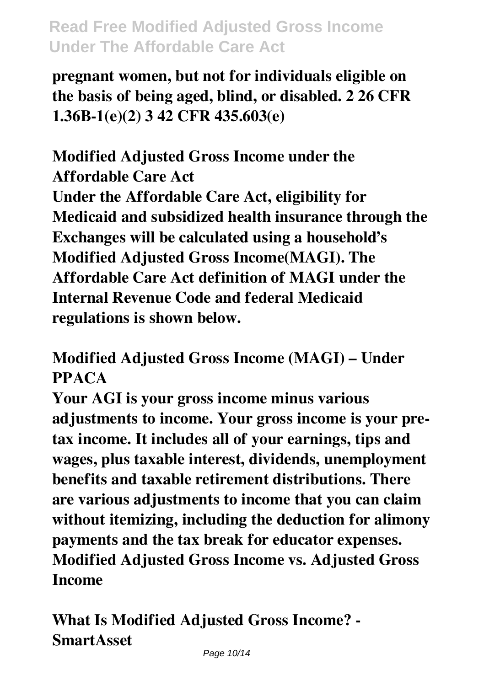**pregnant women, but not for individuals eligible on the basis of being aged, blind, or disabled. 2 26 CFR 1.36B-1(e)(2) 3 42 CFR 435.603(e)**

**Modified Adjusted Gross Income under the Affordable Care Act Under the Affordable Care Act, eligibility for Medicaid and subsidized health insurance through the Exchanges will be calculated using a household's Modified Adjusted Gross Income(MAGI). The Affordable Care Act definition of MAGI under the Internal Revenue Code and federal Medicaid regulations is shown below.**

**Modified Adjusted Gross Income (MAGI) – Under PPACA**

**Your AGI is your gross income minus various adjustments to income. Your gross income is your pretax income. It includes all of your earnings, tips and wages, plus taxable interest, dividends, unemployment benefits and taxable retirement distributions. There are various adjustments to income that you can claim without itemizing, including the deduction for alimony payments and the tax break for educator expenses. Modified Adjusted Gross Income vs. Adjusted Gross Income**

**What Is Modified Adjusted Gross Income? - SmartAsset**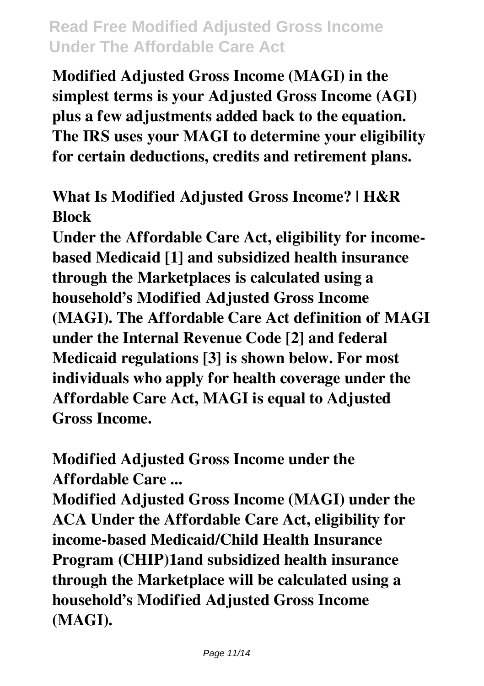**Modified Adjusted Gross Income (MAGI) in the simplest terms is your Adjusted Gross Income (AGI) plus a few adjustments added back to the equation. The IRS uses your MAGI to determine your eligibility for certain deductions, credits and retirement plans.**

**What Is Modified Adjusted Gross Income? | H&R Block**

**Under the Affordable Care Act, eligibility for incomebased Medicaid [1] and subsidized health insurance through the Marketplaces is calculated using a household's Modified Adjusted Gross Income (MAGI). The Affordable Care Act definition of MAGI under the Internal Revenue Code [2] and federal Medicaid regulations [3] is shown below. For most individuals who apply for health coverage under the Affordable Care Act, MAGI is equal to Adjusted Gross Income.**

**Modified Adjusted Gross Income under the Affordable Care ...**

**Modified Adjusted Gross Income (MAGI) under the ACA Under the Affordable Care Act, eligibility for income-based Medicaid/Child Health Insurance Program (CHIP)1and subsidized health insurance through the Marketplace will be calculated using a household's Modified Adjusted Gross Income (MAGI).**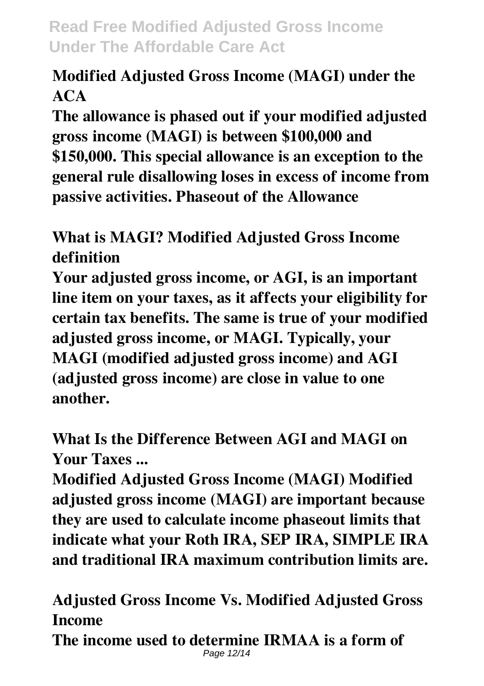# **Modified Adjusted Gross Income (MAGI) under the ACA**

**The allowance is phased out if your modified adjusted gross income (MAGI) is between \$100,000 and \$150,000. This special allowance is an exception to the general rule disallowing loses in excess of income from passive activities. Phaseout of the Allowance**

# **What is MAGI? Modified Adjusted Gross Income definition**

**Your adjusted gross income, or AGI, is an important line item on your taxes, as it affects your eligibility for certain tax benefits. The same is true of your modified adjusted gross income, or MAGI. Typically, your MAGI (modified adjusted gross income) and AGI (adjusted gross income) are close in value to one another.**

# **What Is the Difference Between AGI and MAGI on Your Taxes ...**

**Modified Adjusted Gross Income (MAGI) Modified adjusted gross income (MAGI) are important because they are used to calculate income phaseout limits that indicate what your Roth IRA, SEP IRA, SIMPLE IRA and traditional IRA maximum contribution limits are.**

**Adjusted Gross Income Vs. Modified Adjusted Gross Income**

**The income used to determine IRMAA is a form of** Page 12/14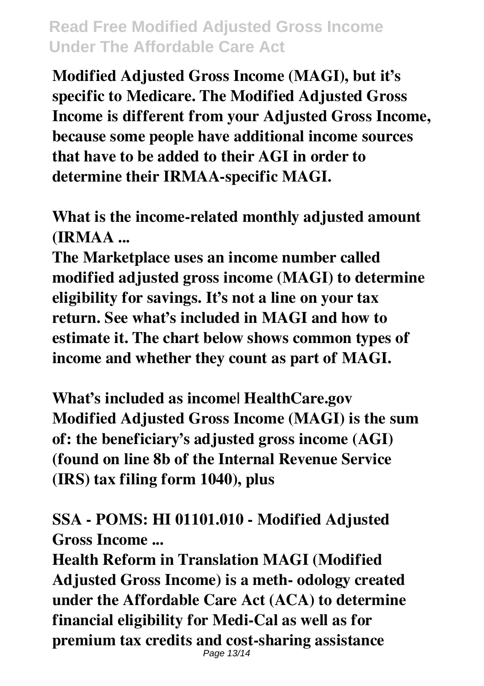**Modified Adjusted Gross Income (MAGI), but it's specific to Medicare. The Modified Adjusted Gross Income is different from your Adjusted Gross Income, because some people have additional income sources that have to be added to their AGI in order to determine their IRMAA-specific MAGI.**

**What is the income-related monthly adjusted amount (IRMAA ...**

**The Marketplace uses an income number called modified adjusted gross income (MAGI) to determine eligibility for savings. It's not a line on your tax return. See what's included in MAGI and how to estimate it. The chart below shows common types of income and whether they count as part of MAGI.**

**What's included as income| HealthCare.gov Modified Adjusted Gross Income (MAGI) is the sum of: the beneficiary's adjusted gross income (AGI) (found on line 8b of the Internal Revenue Service (IRS) tax filing form 1040), plus**

**SSA - POMS: HI 01101.010 - Modified Adjusted Gross Income ...**

**Health Reform in Translation MAGI (Modified Adjusted Gross Income) is a meth- odology created under the Affordable Care Act (ACA) to determine financial eligibility for Medi-Cal as well as for premium tax credits and cost-sharing assistance** Page 13/14